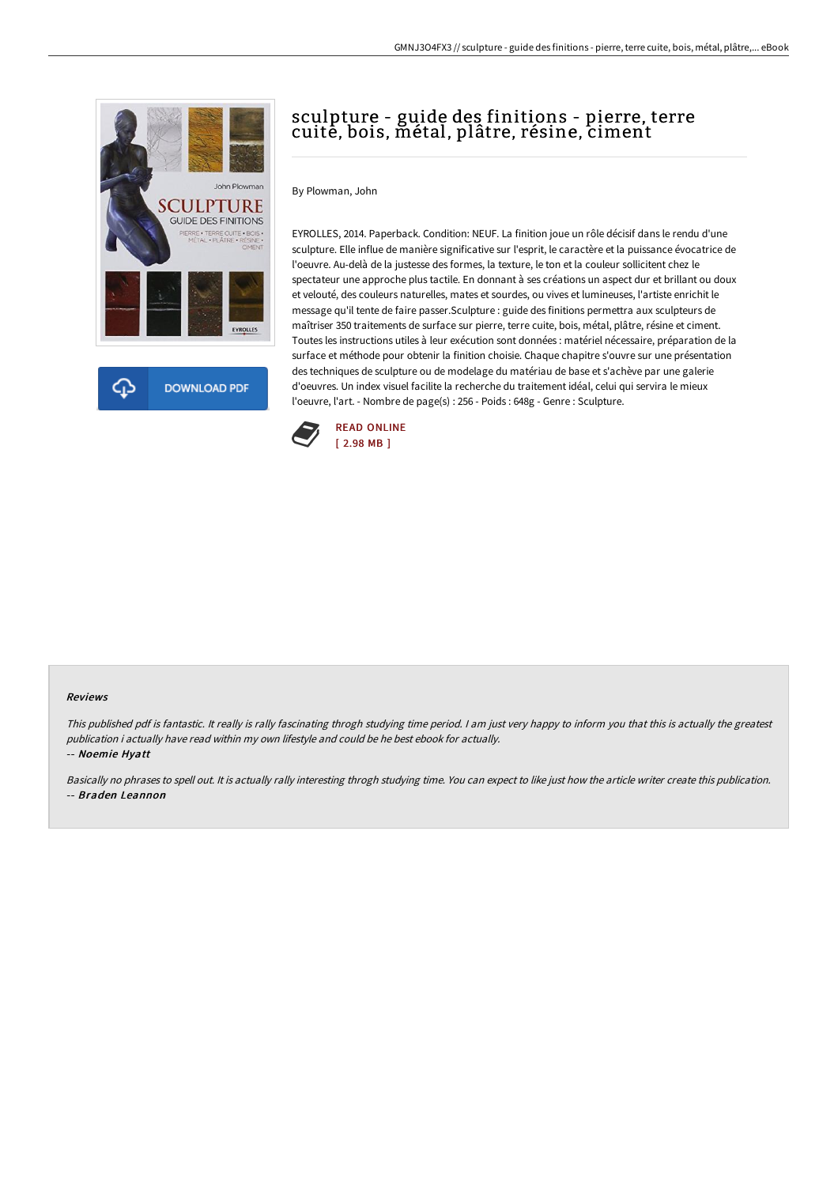

**DOWNLOAD PDF** 

# sculpture - guide des finitions - pierre, terre cuite, bois, métal, plâtre, résine, ciment

By Plowman, John

EYROLLES, 2014. Paperback. Condition: NEUF. La finition joue un rôle décisif dans le rendu d'une sculpture. Elle influe de manière significative sur l'esprit, le caractère et la puissance évocatrice de l'oeuvre. Au-delà de la justesse des formes, la texture, le ton et la couleur sollicitent chez le spectateur une approche plus tactile. En donnant à ses créations un aspect dur et brillant ou doux et velouté, des couleurs naturelles, mates et sourdes, ou vives et lumineuses, l'artiste enrichit le message qu'il tente de faire passer.Sculpture : guide des finitions permettra aux sculpteurs de maîtriser 350 traitements de surface sur pierre, terre cuite, bois, métal, plâtre, résine et ciment. Toutes les instructions utiles à leur exécution sont données : matériel nécessaire, préparation de la surface et méthode pour obtenir la finition choisie. Chaque chapitre s'ouvre sur une présentation des techniques de sculpture ou de modelage du matériau de base et s'achève par une galerie d'oeuvres. Un index visuel facilite la recherche du traitement idéal, celui qui servira le mieux l'oeuvre, l'art. - Nombre de page(s) : 256 - Poids : 648g - Genre : Sculpture.



#### Reviews

This published pdf is fantastic. It really is rally fascinating throgh studying time period. <sup>I</sup> am just very happy to inform you that this is actually the greatest publication i actually have read within my own lifestyle and could be he best ebook for actually.

-- Noemie Hyatt

Basically no phrases to spell out. It is actually rally interesting throgh studying time. You can expect to like just how the article writer create this publication. -- Braden Leannon